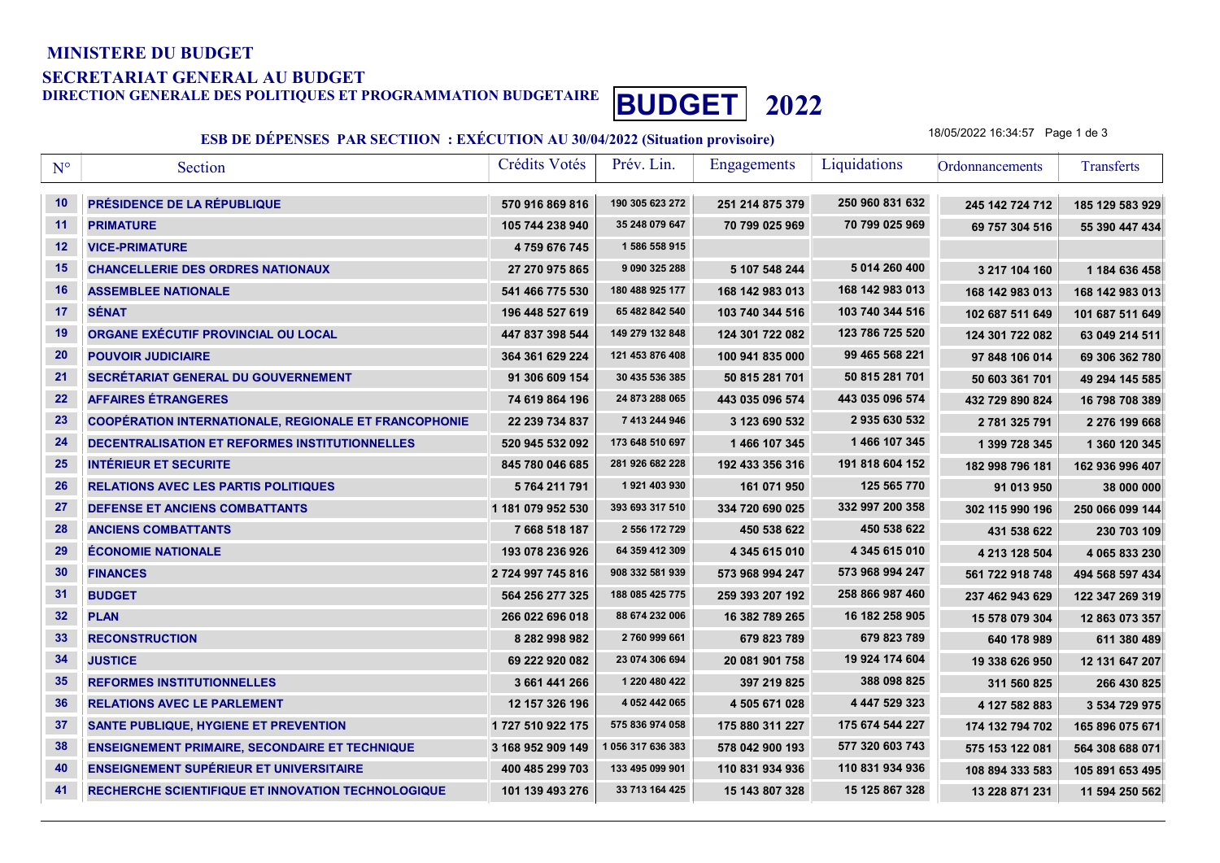## MINISTERE DU BUDGET

## SECRETARIAT GENERAL AU BUDGET

DIRECTION GENERALE DES POLITIQUES ET PROGRAMMATION BUDGETAIRE **BUDGET** 2022

## ESB DE DÉPENSES PAR SECTIION : EXÉCUTION AU 30/04/2022 (Situation provisoire)

18/05/2022 16:34:57 Page 1 de 3

| $N^{\circ}$     | Section                                                      | Crédits Votés     | Prév. Lin.        | Engagements     | Liquidations    | Ordonnancements | Transferts      |
|-----------------|--------------------------------------------------------------|-------------------|-------------------|-----------------|-----------------|-----------------|-----------------|
| 10              | PRÉSIDENCE DE LA RÉPUBLIQUE                                  | 570 916 869 816   | 190 305 623 272   | 251 214 875 379 | 250 960 831 632 | 245 142 724 712 | 185 129 583 929 |
| 11              | <b>PRIMATURE</b>                                             | 105 744 238 940   | 35 248 079 647    | 70 799 025 969  | 70 799 025 969  | 69 757 304 516  | 55 390 447 434  |
| 12              | <b>VICE-PRIMATURE</b>                                        | 4759 676 745      | 1 586 558 915     |                 |                 |                 |                 |
| 15              | <b>CHANCELLERIE DES ORDRES NATIONAUX</b>                     | 27 270 975 865    | 9 090 325 288     | 5 107 548 244   | 5 014 260 400   | 3 217 104 160   | 1 184 636 458   |
| 16              | <b>ASSEMBLEE NATIONALE</b>                                   | 541 466 775 530   | 180 488 925 177   | 168 142 983 013 | 168 142 983 013 | 168 142 983 013 | 168 142 983 013 |
| 17              | <b>SÉNAT</b>                                                 | 196 448 527 619   | 65 482 842 540    | 103 740 344 516 | 103 740 344 516 | 102 687 511 649 | 101 687 511 649 |
| 19              | ORGANE EXÉCUTIF PROVINCIAL OU LOCAL                          | 447 837 398 544   | 149 279 132 848   | 124 301 722 082 | 123 786 725 520 | 124 301 722 082 | 63 049 214 511  |
| 20              | <b>POUVOIR JUDICIAIRE</b>                                    | 364 361 629 224   | 121 453 876 408   | 100 941 835 000 | 99 465 568 221  | 97 848 106 014  | 69 306 362 780  |
| 21              | SECRÉTARIAT GENERAL DU GOUVERNEMENT                          | 91 306 609 154    | 30 435 536 385    | 50 815 281 701  | 50 815 281 701  | 50 603 361 701  | 49 294 145 585  |
| 22              | <b>AFFAIRES ÉTRANGERES</b>                                   | 74 619 864 196    | 24 873 288 065    | 443 035 096 574 | 443 035 096 574 | 432 729 890 824 | 16 798 708 389  |
| 23              | <b>COOPÉRATION INTERNATIONALE, REGIONALE ET FRANCOPHONIE</b> | 22 239 734 837    | 7 413 244 946     | 3 123 690 532   | 2935630532      | 2 781 325 791   | 2 276 199 668   |
| 24              | DECENTRALISATION ET REFORMES INSTITUTIONNELLES               | 520 945 532 092   | 173 648 510 697   | 1 466 107 345   | 1466 107 345    | 1 399 728 345   | 1 360 120 345   |
| 25              | <b>INTÉRIEUR ET SECURITE</b>                                 | 845 780 046 685   | 281 926 682 228   | 192 433 356 316 | 191 818 604 152 | 182 998 796 181 | 162 936 996 407 |
| 26              | <b>RELATIONS AVEC LES PARTIS POLITIQUES</b>                  | 5764 211 791      | 1921 403 930      | 161 071 950     | 125 565 770     | 91 013 950      | 38 000 000      |
| 27              | <b>DEFENSE ET ANCIENS COMBATTANTS</b>                        | 1 181 079 952 530 | 393 693 317 510   | 334 720 690 025 | 332 997 200 358 | 302 115 990 196 | 250 066 099 144 |
| 28              | <b>ANCIENS COMBATTANTS</b>                                   | 7 668 518 187     | 2 556 172 729     | 450 538 622     | 450 538 622     | 431 538 622     | 230 703 109     |
| 29              | <b>ÉCONOMIE NATIONALE</b>                                    | 193 078 236 926   | 64 359 412 309    | 4 345 615 010   | 4 345 615 010   | 4 213 128 504   | 4 065 833 230   |
| 30              | <b>FINANCES</b>                                              | 2 724 997 745 816 | 908 332 581 939   | 573 968 994 247 | 573 968 994 247 | 561 722 918 748 | 494 568 597 434 |
| 31              | <b>BUDGET</b>                                                | 564 256 277 325   | 188 085 425 775   | 259 393 207 192 | 258 866 987 460 | 237 462 943 629 | 122 347 269 319 |
| 32              | <b>PLAN</b>                                                  | 266 022 696 018   | 88 674 232 006    | 16 382 789 265  | 16 182 258 905  | 15 578 079 304  | 12 863 073 357  |
| 33 <sub>o</sub> | <b>RECONSTRUCTION</b>                                        | 8 282 998 982     | 2760 999 661      | 679 823 789     | 679 823 789     | 640 178 989     | 611 380 489     |
| 34              | <b>JUSTICE</b>                                               | 69 222 920 082    | 23 074 306 694    | 20 081 901 758  | 19 924 174 604  | 19 338 626 950  | 12 131 647 207  |
| 35              | <b>REFORMES INSTITUTIONNELLES</b>                            | 3 661 441 266     | 1 220 480 422     | 397 219 825     | 388 098 825     | 311 560 825     | 266 430 825     |
| 36              | <b>RELATIONS AVEC LE PARLEMENT</b>                           | 12 157 326 196    | 4 052 442 065     | 4 505 671 028   | 4 447 529 323   | 4 127 582 883   | 3 534 729 975   |
| 37              | <b>SANTE PUBLIQUE, HYGIENE ET PREVENTION</b>                 | 1727 510 922 175  | 575 836 974 058   | 175 880 311 227 | 175 674 544 227 | 174 132 794 702 | 165 896 075 671 |
| 38              | <b>ENSEIGNEMENT PRIMAIRE, SECONDAIRE ET TECHNIQUE</b>        | 3 168 952 909 149 | 1 056 317 636 383 | 578 042 900 193 | 577 320 603 743 | 575 153 122 081 | 564 308 688 071 |
| 40              | <b>ENSEIGNEMENT SUPÉRIEUR ET UNIVERSITAIRE</b>               | 400 485 299 703   | 133 495 099 901   | 110 831 934 936 | 110 831 934 936 | 108 894 333 583 | 105 891 653 495 |
| 41              | RECHERCHE SCIENTIFIQUE ET INNOVATION TECHNOLOGIQUE           | 101 139 493 276   | 33 713 164 425    | 15 143 807 328  | 15 125 867 328  | 13 228 871 231  | 11 594 250 562  |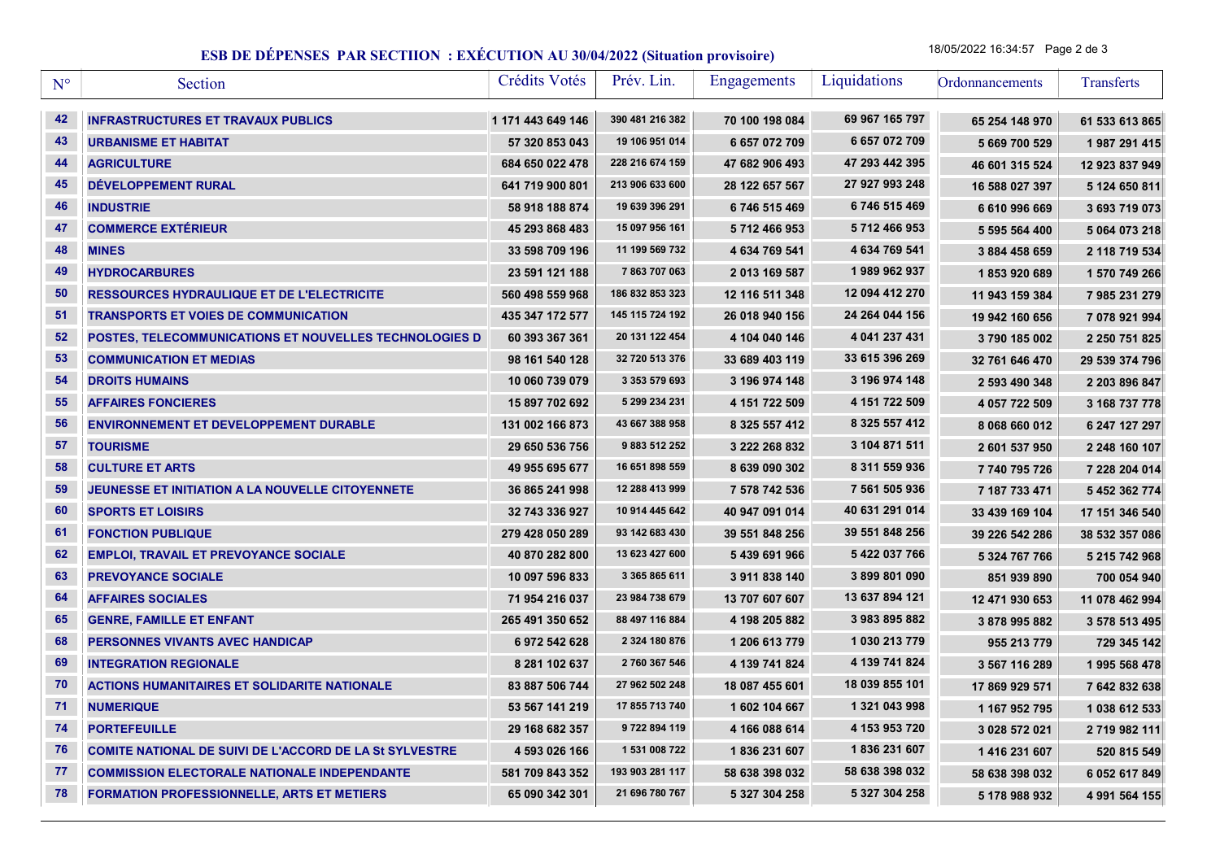## ESB DE DÉPENSES PAR SECTIION : EXÉCUTION AU 30/04/2022 (Situation provisoire)

18/05/2022 16:34:57 Page 2 de 3

| $N^{\circ}$ | Section                                                        | Crédits Votés     | Prév. Lin.      | <b>Engagements</b> | Liquidations   | Ordonnancements | Transferts     |
|-------------|----------------------------------------------------------------|-------------------|-----------------|--------------------|----------------|-----------------|----------------|
| 42          | <b>INFRASTRUCTURES ET TRAVAUX PUBLICS</b>                      | 1 171 443 649 146 | 390 481 216 382 | 70 100 198 084     | 69 967 165 797 | 65 254 148 970  | 61 533 613 865 |
| 43          | <b>URBANISME ET HABITAT</b>                                    | 57 320 853 043    | 19 106 951 014  | 6 657 072 709      | 6 657 072 709  | 5 669 700 529   | 1987 291 415   |
| 44          | <b>AGRICULTURE</b>                                             | 684 650 022 478   | 228 216 674 159 | 47 682 906 493     | 47 293 442 395 | 46 601 315 524  | 12 923 837 949 |
| 45          | <b>DÉVELOPPEMENT RURAL</b>                                     | 641 719 900 801   | 213 906 633 600 | 28 122 657 567     | 27 927 993 248 | 16 588 027 397  | 5 124 650 811  |
| 46          | <b>INDUSTRIE</b>                                               | 58 918 188 874    | 19 639 396 291  | 6746515469         | 6 746 515 469  | 6 610 996 669   | 3 693 719 073  |
| 47          | <b>COMMERCE EXTÉRIEUR</b>                                      | 45 293 868 483    | 15 097 956 161  | 5712466953         | 5 712 466 953  | 5 595 564 400   | 5 064 073 218  |
| 48          | <b>MINES</b>                                                   | 33 598 709 196    | 11 199 569 732  | 4 634 769 541      | 4 634 769 541  | 3 884 458 659   | 2 118 719 534  |
| 49          | <b>HYDROCARBURES</b>                                           | 23 591 121 188    | 7863707063      | 2013 169 587       | 1989962937     | 1853920689      | 1 570 749 266  |
| 50          | <b>RESSOURCES HYDRAULIQUE ET DE L'ELECTRICITE</b>              | 560 498 559 968   | 186 832 853 323 | 12 116 511 348     | 12 094 412 270 | 11 943 159 384  | 7 985 231 279  |
| 51          | <b>TRANSPORTS ET VOIES DE COMMUNICATION</b>                    | 435 347 172 577   | 145 115 724 192 | 26 018 940 156     | 24 264 044 156 | 19 942 160 656  | 7 078 921 994  |
| 52          | POSTES, TELECOMMUNICATIONS ET NOUVELLES TECHNOLOGIES D         | 60 393 367 361    | 20 131 122 454  | 4 104 040 146      | 4 041 237 431  | 3790 185 002    | 2 250 751 825  |
| 53          | <b>COMMUNICATION ET MEDIAS</b>                                 | 98 161 540 128    | 32 720 513 376  | 33 689 403 119     | 33 615 396 269 | 32 761 646 470  | 29 539 374 796 |
| 54          | <b>DROITS HUMAINS</b>                                          | 10 060 739 079    | 3 353 579 693   | 3 196 974 148      | 3 196 974 148  | 2 593 490 348   | 2 203 896 847  |
| 55          | <b>AFFAIRES FONCIERES</b>                                      | 15 897 702 692    | 5 299 234 231   | 4 151 722 509      | 4 151 722 509  | 4 057 722 509   | 3 168 737 778  |
| 56          | <b>ENVIRONNEMENT ET DEVELOPPEMENT DURABLE</b>                  | 131 002 166 873   | 43 667 388 958  | 8 325 557 412      | 8 325 557 412  | 8 068 660 012   | 6 247 127 297  |
| 57          | <b>TOURISME</b>                                                | 29 650 536 756    | 9 883 512 252   | 3 222 268 832      | 3 104 871 511  | 2 601 537 950   | 2 248 160 107  |
| 58          | <b>CULTURE ET ARTS</b>                                         | 49 955 695 677    | 16 651 898 559  | 8 639 090 302      | 8 311 559 936  | 7740795726      | 7 228 204 014  |
| 59          | JEUNESSE ET INITIATION A LA NOUVELLE CITOYENNETE               | 36 865 241 998    | 12 288 413 999  | 7 578 742 536      | 7 561 505 936  | 7 187 733 471   | 5 452 362 774  |
| 60          | <b>SPORTS ET LOISIRS</b>                                       | 32 743 336 927    | 10 914 445 642  | 40 947 091 014     | 40 631 291 014 | 33 439 169 104  | 17 151 346 540 |
| 61          | <b>FONCTION PUBLIQUE</b>                                       | 279 428 050 289   | 93 142 683 430  | 39 551 848 256     | 39 551 848 256 | 39 226 542 286  | 38 532 357 086 |
| 62          | <b>EMPLOI, TRAVAIL ET PREVOYANCE SOCIALE</b>                   | 40 870 282 800    | 13 623 427 600  | 5 439 691 966      | 5422037766     | 5 324 767 766   | 5 215 742 968  |
| 63          | <b>PREVOYANCE SOCIALE</b>                                      | 10 097 596 833    | 3 365 865 611   | 3 911 838 140      | 3899801090     | 851 939 890     | 700 054 940    |
| 64          | <b>AFFAIRES SOCIALES</b>                                       | 71 954 216 037    | 23 984 738 679  | 13 707 607 607     | 13 637 894 121 | 12 471 930 653  | 11 078 462 994 |
| 65          | <b>GENRE, FAMILLE ET ENFANT</b>                                | 265 491 350 652   | 88 497 116 884  | 4 198 205 882      | 3 983 895 882  | 3878995882      | 3 578 513 495  |
| 68          | PERSONNES VIVANTS AVEC HANDICAP                                | 6 972 542 628     | 2 324 180 876   | 1 206 613 779      | 1 030 213 779  | 955 213 779     | 729 345 142    |
| 69          | <b>INTEGRATION REGIONALE</b>                                   | 8 281 102 637     | 2 760 367 546   | 4 139 741 824      | 4 139 741 824  | 3 567 116 289   | 1995 568 478   |
| 70          | <b>ACTIONS HUMANITAIRES ET SOLIDARITE NATIONALE</b>            | 83 887 506 744    | 27 962 502 248  | 18 087 455 601     | 18 039 855 101 | 17 869 929 571  | 7 642 832 638  |
| $71$        | <b>NUMERIQUE</b>                                               | 53 567 141 219    | 17 855 713 740  | 1602 104 667       | 1 321 043 998  | 1 167 952 795   | 1 038 612 533  |
| 74          | <b>PORTEFEUILLE</b>                                            | 29 168 682 357    | 9 722 894 119   | 4 166 088 614      | 4 153 953 720  | 3 028 572 021   | 2 719 982 111  |
| 76          | <b>COMITE NATIONAL DE SUIVI DE L'ACCORD DE LA St SYLVESTRE</b> | 4 593 026 166     | 1 531 008 722   | 1836 231 607       | 1836 231 607   | 1 416 231 607   | 520 815 549    |
| 77          | <b>COMMISSION ELECTORALE NATIONALE INDEPENDANTE</b>            | 581 709 843 352   | 193 903 281 117 | 58 638 398 032     | 58 638 398 032 | 58 638 398 032  | 6 052 617 849  |
| 78          | <b>FORMATION PROFESSIONNELLE, ARTS ET METIERS</b>              | 65 090 342 301    | 21 696 780 767  | 5 327 304 258      | 5 327 304 258  | 5 178 988 932   | 4 991 564 155  |